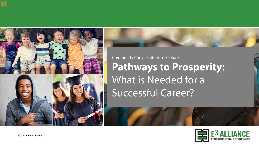



Community Conversations to Explore **Pathways to Prosperity:**  What is Needed for a Successful Career?

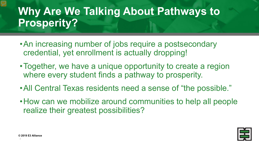# **Why Are We Talking About Pathways to Prosperity?**

- •An increasing number of jobs require a postsecondary credential, yet enrollment is actually dropping!
- •Together, we have a unique opportunity to create a region where every student finds a pathway to prosperity.
- •All Central Texas residents need a sense of "the possible."
- •How can we mobilize around communities to help all people realize their greatest possibilities?



2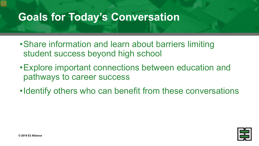## **Goals for Today's Conversation**

- •Share information and learn about barriers limiting student success beyond high school
- •Explore important connections between education and pathways to career success
- •Identify others who can benefit from these conversations

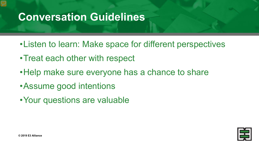## **Conversation Guidelines**

- •Listen to learn: Make space for different perspectives
- •Treat each other with respect
- •Help make sure everyone has a chance to share
- •Assume good intentions
- •Your questions are valuable

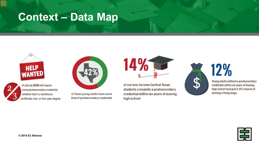## **Context – Data Map**





of jobs by 2020 will require

some postsecondary credential, whether that's a workforce certificate, two- or four-year degree

of Texas young adults have some kind of postsecondary credential of our low-income Central Texas students complete a postsecondary credential within six years of leaving high school

14%



Young adults without a postsecondary credential within six years of leaving high school have just a 12% chance of earning a living wage.

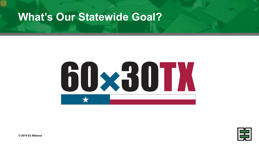### **What's Our Statewide Goal?**





**© 2019 E3 Alliance**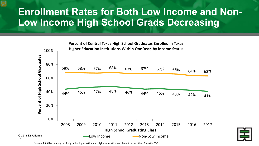### **Enrollment Rates for Both Low Income and Non-Low Income High School Grads Decreasing**



Source: E3 Alliance analysis of high school graduation and higher education enrollment data at the UT Austin ERC

7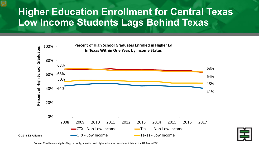### **Higher Education Enrollment for Central Texas Low Income Students Lags Behind Texas**



Source: E3 Alliance analysis of high school graduation and higher education enrollment data at the UT Austin ERC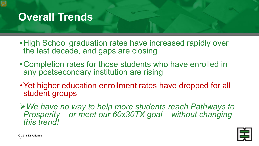## **Overall Trends**

- •High School graduation rates have increased rapidly over the last decade, and gaps are closing
- •Completion rates for those students who have enrolled in any postsecondary institution are rising
- Yet higher education enrollment rates have dropped for all student groups
- *We have no way to help more students reach Pathways to Prosperity – or meet our 60x30TX goal – without changing this trend!*

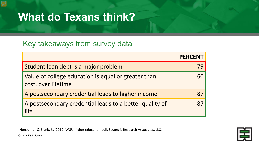## **What do Texans think?**

#### Key takeaways from survey data

|                                                                            | <b>PERCENT</b> |
|----------------------------------------------------------------------------|----------------|
| Student loan debt is a major problem                                       |                |
| Value of college education is equal or greater than<br>cost, over lifetime | 60             |
| A postsecondary credential leads to higher income                          | 87             |
| A postsecondary credential leads to a better quality of<br>life            | 87             |

Henson, J., & Blank, J., (2019) WGU higher education poll. Strategic Research Associates, LLC.

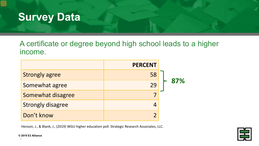

#### A certificate or degree beyond high school leads to a higher income.

|                          | <b>PERCENT</b> |     |
|--------------------------|----------------|-----|
| <b>Strongly agree</b>    | 58             |     |
| Somewhat agree           | 29             | 87% |
| Somewhat disagree        |                |     |
| <b>Strongly disagree</b> |                |     |
| Don't know               |                |     |

Henson, J., & Blank, J., (2019) WGU higher education poll. Strategic Research Associates, LLC.

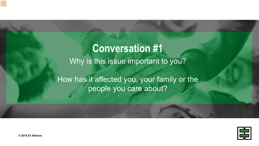# **Conversation #1** Why is this issue important to you? How has it affected you, your family or the people you care about?

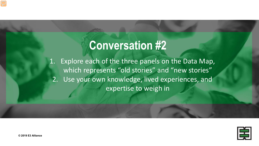# **Conversation #2**

1. Explore each of the three panels on the Data Map, which represents "old stories" and "new stories" 2. Use your own knowledge, lived experiences, and expertise to weigh in

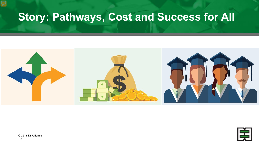# **Story: Pathways, Cost and Success for All**



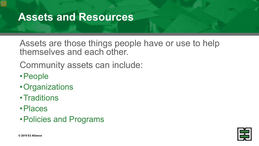### **Assets and Resources**

Assets are those things people have or use to help themselves and each other.

Community assets can include:

- •People
- •Organizations
- •Traditions
- •Places
- •Policies and Programs

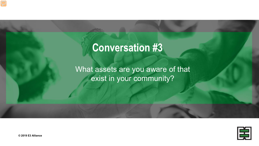# **Conversation #3**

What assets are you aware of that exist in your community?

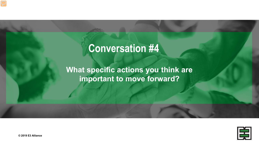# **Conversation #4**

**What specific actions you think are important to move forward?**

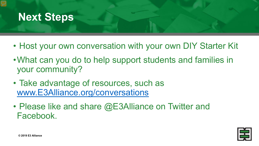### **Next Steps**

- Host your own conversation with your own DIY Starter Kit
- •What can you do to help support students and families in your community?
- Take advantage of resources, such as [www.E3Alliance.org/conversations](http://www.e3alliance.org/conversations)
- Please like and share @E3Alliance on Twitter and Facebook.